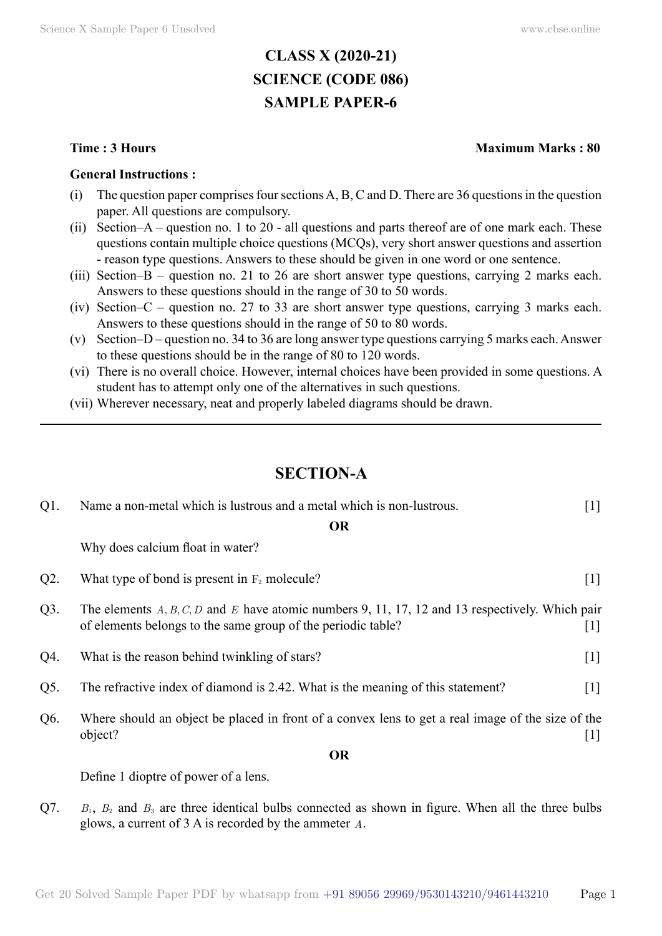# **CLASS X (2020-21) SCIENCE (CODE 086) SAMPLE PAPER-6**

#### **General Instructions :**

- (i) The question paper comprises four sections A, B, C and D. There are 36 questions in the question paper. All questions are compulsory.
- (ii) Section–A question no. 1 to 20 all questions and parts thereof are of one mark each. These questions contain multiple choice questions (MCQs), very short answer questions and assertion - reason type questions. Answers to these should be given in one word or one sentence.
- (iii) Section–B question no. 21 to 26 are short answer type questions, carrying 2 marks each. Answers to these questions should in the range of 30 to 50 words.
- (iv) Section–C question no. 27 to 33 are short answer type questions, carrying 3 marks each. Answers to these questions should in the range of 50 to 80 words.
- (v) Section–D question no. 34 to 36 are long answer type questions carrying 5 marks each. Answer to these questions should be in the range of 80 to 120 words.
- (vi) There is no overall choice. However, internal choices have been provided in some questions. A student has to attempt only one of the alternatives in such questions.
- (vii) Wherever necessary, neat and properly labeled diagrams should be drawn.

## **SECTION-A**

| $Q1$ . | Name a non-metal which is lustrous and a metal which is non-lustrous.                                                                                             | $[1]$               |
|--------|-------------------------------------------------------------------------------------------------------------------------------------------------------------------|---------------------|
|        | <b>OR</b>                                                                                                                                                         |                     |
|        | Why does calcium float in water?                                                                                                                                  |                     |
| $Q2$ . | What type of bond is present in $F_2$ molecule?                                                                                                                   | $[1]$               |
| $Q3$ . | The elements $A, B, C, D$ and E have atomic numbers 9, 11, 17, 12 and 13 respectively. Which pair<br>of elements belongs to the same group of the periodic table? | $\lfloor 1 \rfloor$ |
| Q4.    | What is the reason behind twinkling of stars?                                                                                                                     | $[1]$               |
| Q5.    | The refractive index of diamond is 2.42. What is the meaning of this statement?                                                                                   | $\lceil 1 \rceil$   |
| Q6.    | Where should an object be placed in front of a convex lens to get a real image of the size of the<br>object?                                                      | $\lfloor 1 \rfloor$ |
|        | <b>OR</b>                                                                                                                                                         |                     |
|        | Define 1 dioptre of power of a lens.                                                                                                                              |                     |

 $Q7.$  *B*<sub>1</sub>, *B*<sub>2</sub> and *B*<sub>3</sub> are three identical bulbs connected as shown in figure. When all the three bulbs glows, a current of 3 A is recorded by the ammeter *A*.

#### **Time : 3 Hours Maximum Marks : 80**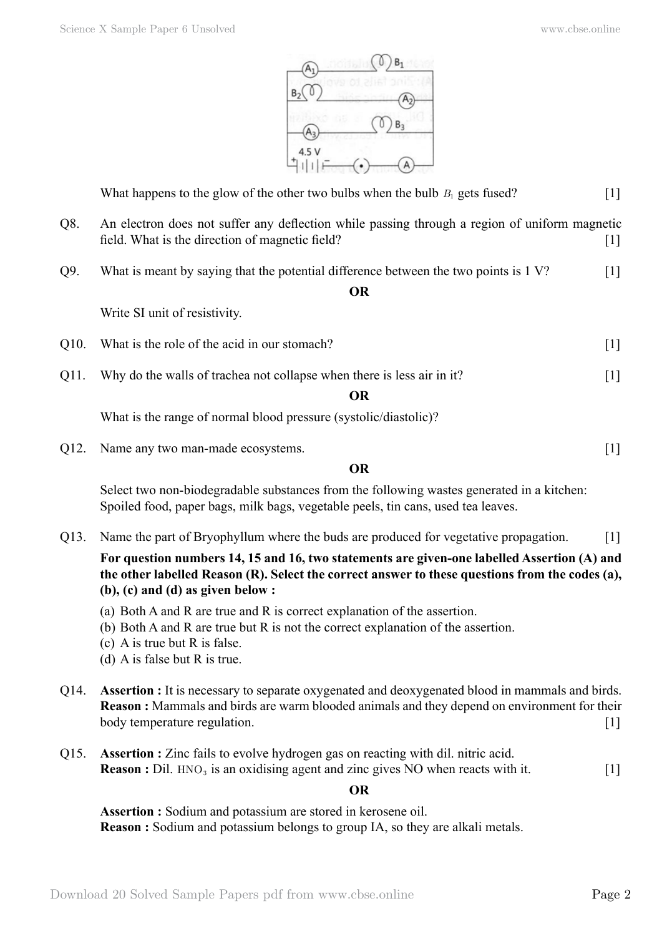

What happens to the glow of the other two bulbs when the bulb  $B_1$  gets fused? [1]

- Q8. An electron does not suffer any deflection while passing through a region of uniform magnetic field. What is the direction of magnetic field? [1]
- Q9. What is meant by saying that the potential difference between the two points is 1 V?

#### **O**

Write SI unit of resistivity.

- Q10. What is the role of the acid in our stomach? [1]
- Q11. Why do the walls of trachea not collapse when there is less air in it? [1]

 **O**

What is the range of normal blood pressure (systolic/diastolic)?

Q12. Name any two man-made ecosystems. [1]

 **O**

Select two non-biodegradable substances from the following wastes generated in a kitchen: Spoiled food, paper bags, milk bags, vegetable peels, tin cans, used tea leaves.

Q13. Name the part of Bryophyllum where the buds are produced for vegetative propagation. [1]

**For question numbers 14, 15 and 16, two statements are given-one labelled Assertion (A) and the other labelled Reason (R). Select the correct answer to these questions from the codes (a), (b), (c) and (d) as given below :**

- (a) Both A and R are true and R is correct explanation of the assertion.
- (b) Both A and R are true but R is not the correct explanation of the assertion.
- (c) A is true but R is false.
- (d) A is false but R is true.
- Q14. **Assertion :** It is necessary to separate oxygenated and deoxygenated blood in mammals and birds. **Reason :** Mammals and birds are warm blooded animals and they depend on environment for their body temperature regulation. [1]
- Q15. **Assertion :** Zinc fails to evolve hydrogen gas on reacting with dil. nitric acid. **Reason :** Dil. HNO<sub>3</sub> is an oxidising agent and zinc gives NO when reacts with it. [1]

#### $\Omega$

**Assertion :** Sodium and potassium are stored in kerosene oil. **Reason :** Sodium and potassium belongs to group IA, so they are alkali metals.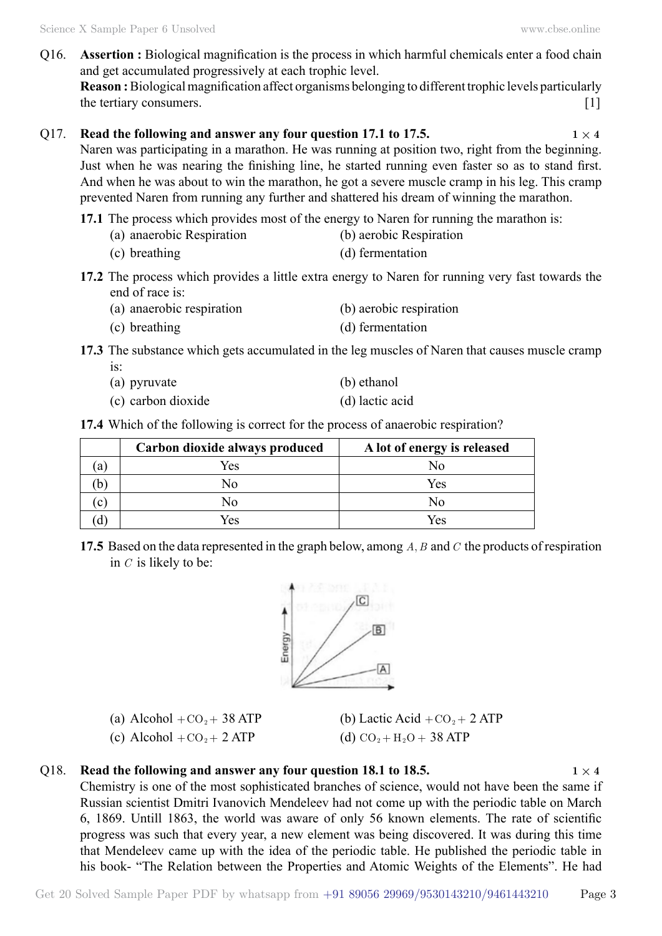Q16. **Assertion :** Biological magnification is the process in which harmful chemicals enter a food chain and get accumulated progressively at each trophic level.

**Reason :** Biological magnification affect organisms belonging to different trophic levels particularly the tertiary consumers. [1]

#### Q17. **Read the following and answer any four question 17.1 to 17.5.**  $1 \times 4$

Naren was participating in a marathon. He was running at position two, right from the beginning. Just when he was nearing the finishing line, he started running even faster so as to stand first. And when he was about to win the marathon, he got a severe muscle cramp in his leg. This cramp prevented Naren from running any further and shattered his dream of winning the marathon.

- **17.1** The process which provides most of the energy to Naren for running the marathon is:
	- (a) anaerobic Respiration (b) aerobic Respiration
	- (c) breathing (d) fermentation
- **17.2** The process which provides a little extra energy to Naren for running very fast towards the end of race is:
	- (a) anaerobic respiration (b) aerobic respiration
	- (c) breathing (d) fermentation

**17.3** The substance which gets accumulated in the leg muscles of Naren that causes muscle cramp

- is: (a) pyruvate (b) ethanol
- (c) carbon dioxide (d) lactic acid

**17.4** Which of the following is correct for the process of anaerobic respiration?

|    | Carbon dioxide always produced | A lot of energy is released |
|----|--------------------------------|-----------------------------|
| a  | Yes                            | No                          |
|    | No                             | Yes                         |
| C) | No                             | Nο                          |
|    | Yes                            | Yes                         |

**17.5** Based on the data represented in the graph below, among A, B and C the products of respiration in *C* is likely to be:



(a) Alcohol +  $CO<sub>2</sub>$  + 38 ATP (b) Lactic Acid +  $CO<sub>2</sub>$  + 2 ATP

(c) Alcohol +  $CO_2 + 2$  ATP (d)  $CO_2 + H_2O + 38$  ATP

#### Q18. **Read the following and answer any four question 18.1 to 18.5.**  $1 \times 4$

Chemistry is one of the most sophisticated branches of science, would not have been the same if Russian scientist Dmitri Ivanovich Mendeleev had not come up with the periodic table on March 6, 1869. Untill 1863, the world was aware of only 56 known elements. The rate of scientific progress was such that every year, a new element was being discovered. It was during this time that Mendeleev came up with the idea of the periodic table. He published the periodic table in his book- "The Relation between the Properties and Atomic Weights of the Elements". He had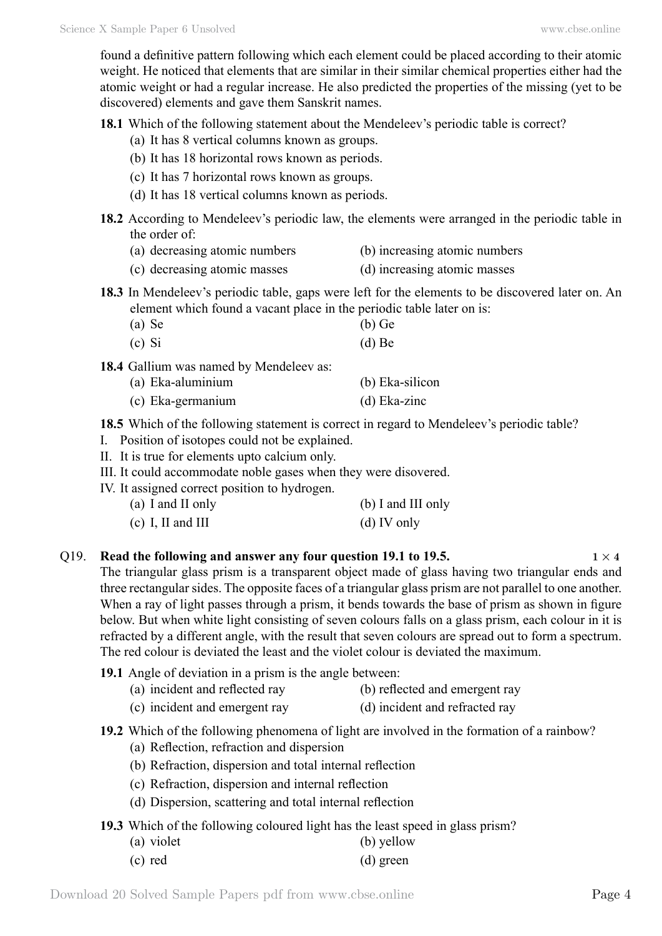found a definitive pattern following which each element could be placed according to their atomic weight. He noticed that elements that are similar in their similar chemical properties either had the atomic weight or had a regular increase. He also predicted the properties of the missing (yet to be discovered) elements and gave them Sanskrit names.

**18.1** Which of the following statement about the Mendeleev's periodic table is correct?

- (a) It has 8 vertical columns known as groups.
- (b) It has 18 horizontal rows known as periods.
- (c) It has 7 horizontal rows known as groups.
- (d) It has 18 vertical columns known as periods.
- **18.2** According to Mendeleev's periodic law, the elements were arranged in the periodic table in the order of:
	- (a) decreasing atomic numbers (b) increasing atomic numbers
	- (c) decreasing atomic masses (d) increasing atomic masses
- **18.3** In Mendeleev's periodic table, gaps were left for the elements to be discovered later on. An element which found a vacant place in the periodic table later on is:
	- (a) Se (b) Ge
	- (c) Si (d) Be

18.4 Gallium was named by Mendeleev as:

- (a) Eka-aluminium (b) Eka-silicon
- (c) Eka-germanium (d) Eka-zinc

**18.5** Which of the following statement is correct in regard to Mendeleev's periodic table?

- I. Position of isotopes could not be explained.
- II. It is true for elements upto calcium only.
- III. It could accommodate noble gases when they were disovered.
- IV. It assigned correct position to hydrogen.

| (a) I and II only   | (b) I and III only |
|---------------------|--------------------|
| $(c)$ I, II and III | $(d)$ IV only      |

#### Q19. **Read the following and answer any four question 19.1 to 19.5.**  $1 \times 4$

The triangular glass prism is a transparent object made of glass having two triangular ends and three rectangular sides. The opposite faces of a triangular glass prism are not parallel to one another. When a ray of light passes through a prism, it bends towards the base of prism as shown in figure below. But when white light consisting of seven colours falls on a glass prism, each colour in it is refracted by a different angle, with the result that seven colours are spread out to form a spectrum. The red colour is deviated the least and the violet colour is deviated the maximum.

#### **19.1** Angle of deviation in a prism is the angle between:

- (a) incident and reflected ray (b) reflected and emergent ray
- (c) incident and emergent ray (d) incident and refracted ray
- **19.2** Which of the following phenomena of light are involved in the formation of a rainbow?
	- (a) Reflection, refraction and dispersion
	- (b) Refraction, dispersion and total internal reflection
	- (c) Refraction, dispersion and internal reflection
	- (d) Dispersion, scattering and total internal reflection
- **19.3** Which of the following coloured light has the least speed in glass prism?

| (a) violet | (b) yellow |
|------------|------------|
|            |            |

(c) red (d) green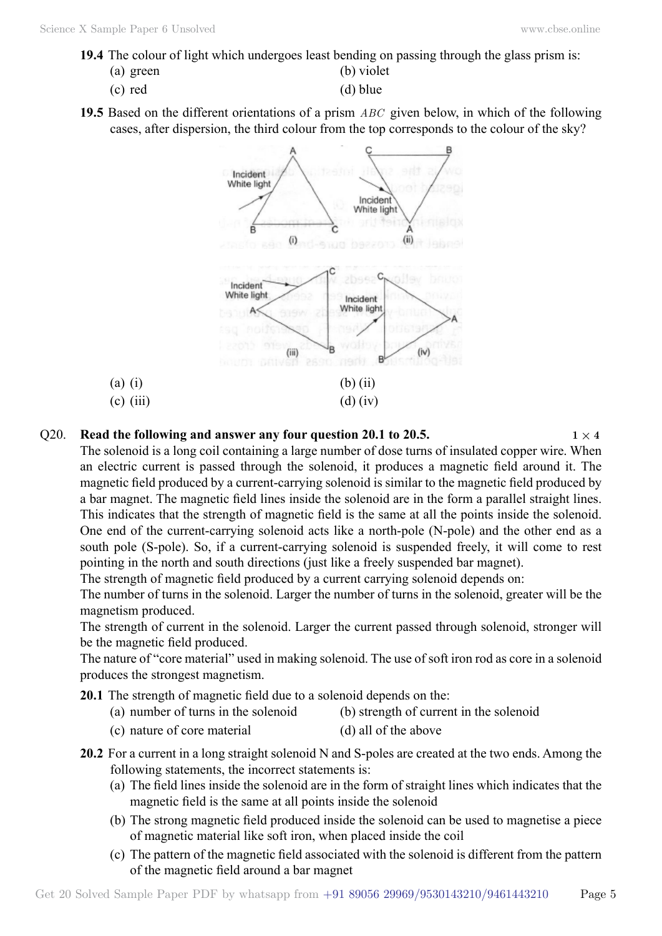**19.4** The colour of light which undergoes least bending on passing through the glass prism is:

(a) green (b) violet

- (c) red (d) blue
- **19.5** Based on the different orientations of a prism *ABC* given below, in which of the following cases, after dispersion, the third colour from the top corresponds to the colour of the sky?



### Q20. **Read the following and answer any four question 20.1 to 20.5.**  $1 \times 4$

The solenoid is a long coil containing a large number of dose turns of insulated copper wire. When an electric current is passed through the solenoid, it produces a magnetic field around it. The magnetic field produced by a current-carrying solenoid is similar to the magnetic field produced by a bar magnet. The magnetic field lines inside the solenoid are in the form a parallel straight lines. This indicates that the strength of magnetic field is the same at all the points inside the solenoid. One end of the current-carrying solenoid acts like a north-pole (N-pole) and the other end as a south pole (S-pole). So, if a current-carrying solenoid is suspended freely, it will come to rest pointing in the north and south directions (just like a freely suspended bar magnet).

The strength of magnetic field produced by a current carrying solenoid depends on:

The number of turns in the solenoid. Larger the number of turns in the solenoid, greater will be the magnetism produced.

The strength of current in the solenoid. Larger the current passed through solenoid, stronger will be the magnetic field produced.

The nature of "core material" used in making solenoid. The use of soft iron rod as core in a solenoid produces the strongest magnetism.

**20.1** The strength of magnetic field due to a solenoid depends on the:

- (a) number of turns in the solenoid (b) strength of current in the solenoid
- (c) nature of core material (d) all of the above
- **20.2** For a current in a long straight solenoid N and S-poles are created at the two ends. Among the following statements, the incorrect statements is:
	- (a) The field lines inside the solenoid are in the form of straight lines which indicates that the magnetic field is the same at all points inside the solenoid
	- (b) The strong magnetic field produced inside the solenoid can be used to magnetise a piece of magnetic material like soft iron, when placed inside the coil
	- (c) The pattern of the magnetic field associated with the solenoid is different from the pattern of the magnetic field around a bar magnet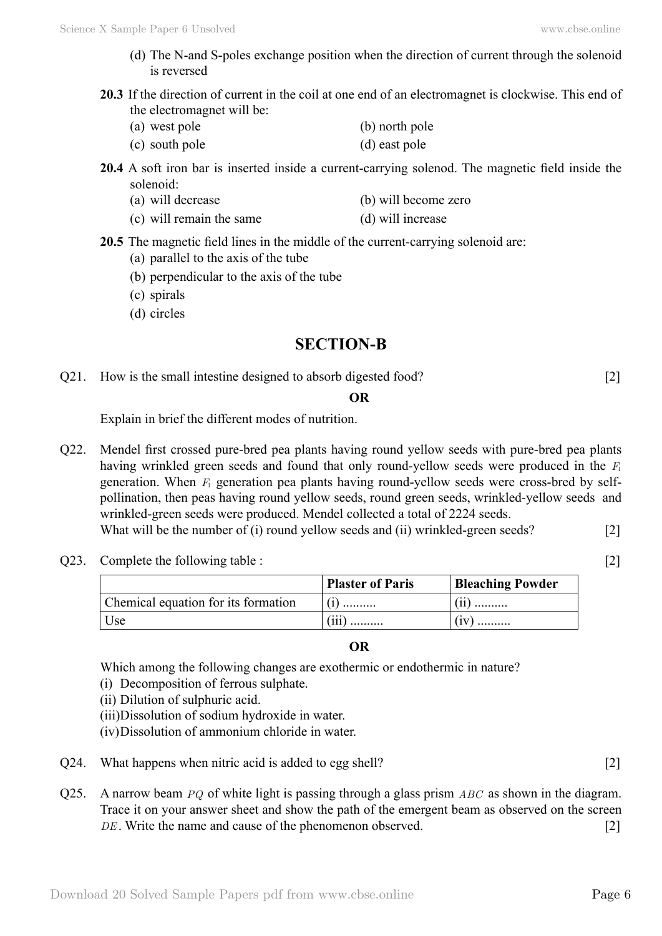- (d) The N-and S-poles exchange position when the direction of current through the solenoid is reversed
- **20.3** If the direction of current in the coil at one end of an electromagnet is clockwise. This end of the electromagnet will be:

| (a) west pole  | (b) north pole |
|----------------|----------------|
| (c) south pole | (d) east pole  |

**20.4** A soft iron bar is inserted inside a current-carrying solenod. The magnetic field inside the solenoid:

| (a) will decrease | (b) will become zero |
|-------------------|----------------------|
|                   |                      |

(c) will remain the same (d) will increase

**20.5** The magnetic field lines in the middle of the current-carrying solenoid are:

- (a) parallel to the axis of the tube
- (b) perpendicular to the axis of the tube
- (c) spirals
- (d) circles

# **SECTION-B**

Q21. How is the small intestine designed to absorb digested food? [2]

#### **O**

Explain in brief the different modes of nutrition.

- Q22. Mendel first crossed pure-bred pea plants having round yellow seeds with pure-bred pea plants having wrinkled green seeds and found that only round-yellow seeds were produced in the *F*<sup>1</sup> generation. When *F*1 generation pea plants having round-yellow seeds were cross-bred by selfpollination, then peas having round yellow seeds, round green seeds, wrinkled-yellow seeds and wrinkled-green seeds were produced. Mendel collected a total of 2224 seeds. What will be the number of (i) round yellow seeds and (ii) wrinkled-green seeds? [2]
- Q23. Complete the following table : [2]

|                                     | <b>Plaster of Paris</b> | <b>Bleaching Powder</b> |
|-------------------------------------|-------------------------|-------------------------|
| Chemical equation for its formation | $(i)$                   | .                       |
| Use                                 | (iii)                   | (iv)                    |

### **O**

Which among the following changes are exothermic or endothermic in nature?

- (i) Decomposition of ferrous sulphate.
- (ii) Dilution of sulphuric acid.
- (iii)Dissolution of sodium hydroxide in water.
- (iv)Dissolution of ammonium chloride in water.
- Q24. What happens when nitric acid is added to egg shell? [2]
- Q25. A narrow beam *PQ* of white light is passing through a glass prism *ABC* as shown in the diagram. Trace it on your answer sheet and show the path of the emergent beam as observed on the screen *DE*. Write the name and cause of the phenomenon observed. [2]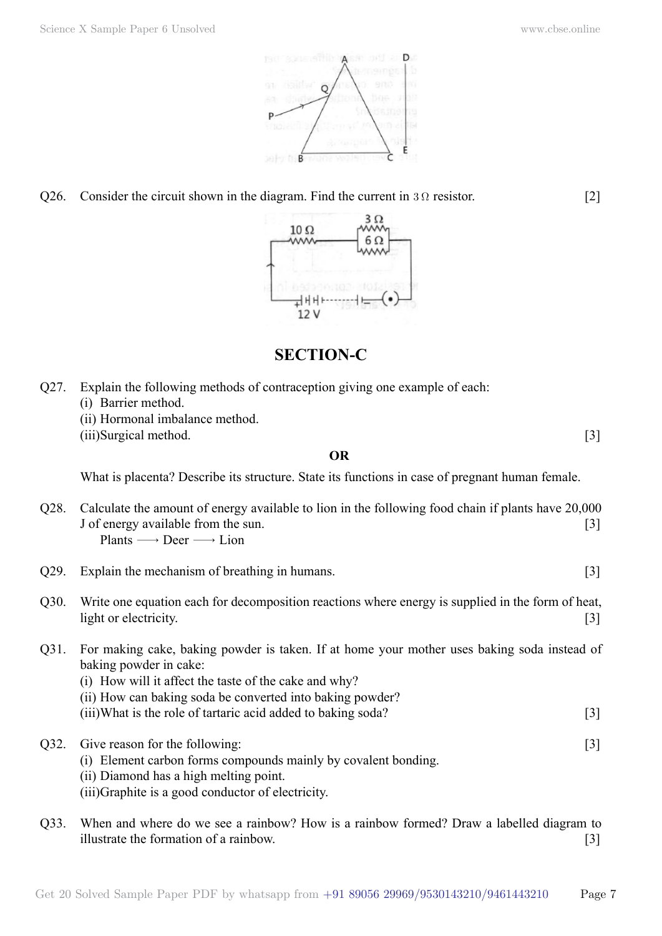

Q26. Consider the circuit shown in the diagram. Find the current in  $3 \Omega$  resistor. [2]



## **SECTION-C**

- Q27. Explain the following methods of contraception giving one example of each:
	- (i) Barrier method.
	- (ii) Hormonal imbalance method.
	- (iii)Surgical method. [3]

#### **O**

What is placenta? Describe its structure. State its functions in case of pregnant human female.

- Q28. Calculate the amount of energy available to lion in the following food chain if plants have 20,000 J of energy available from the sun. [3] Plants  $\longrightarrow$  Deer  $\longrightarrow$  Lion
- Q29. Explain the mechanism of breathing in humans. [3]
- Q30. Write one equation each for decomposition reactions where energy is supplied in the form of heat, light or electricity. [3]
- Q31. For making cake, baking powder is taken. If at home your mother uses baking soda instead of baking powder in cake:
	- (i) How will it affect the taste of the cake and why?
	- (ii) How can baking soda be converted into baking powder?
	- (iii)What is the role of tartaric acid added to baking soda? [3]
- Q32. Give reason for the following: [3]
	- (i) Element carbon forms compounds mainly by covalent bonding.
	- (ii) Diamond has a high melting point.
	- (iii)Graphite is a good conductor of electricity.
- Q33. When and where do we see a rainbow? How is a rainbow formed? Draw a labelled diagram to illustrate the formation of a rainbow. [3]

Get 20 Solved Sample Paper PDF by whatsapp from  $+91\,89056\,29969/9530143210/9461443210$  Page 7